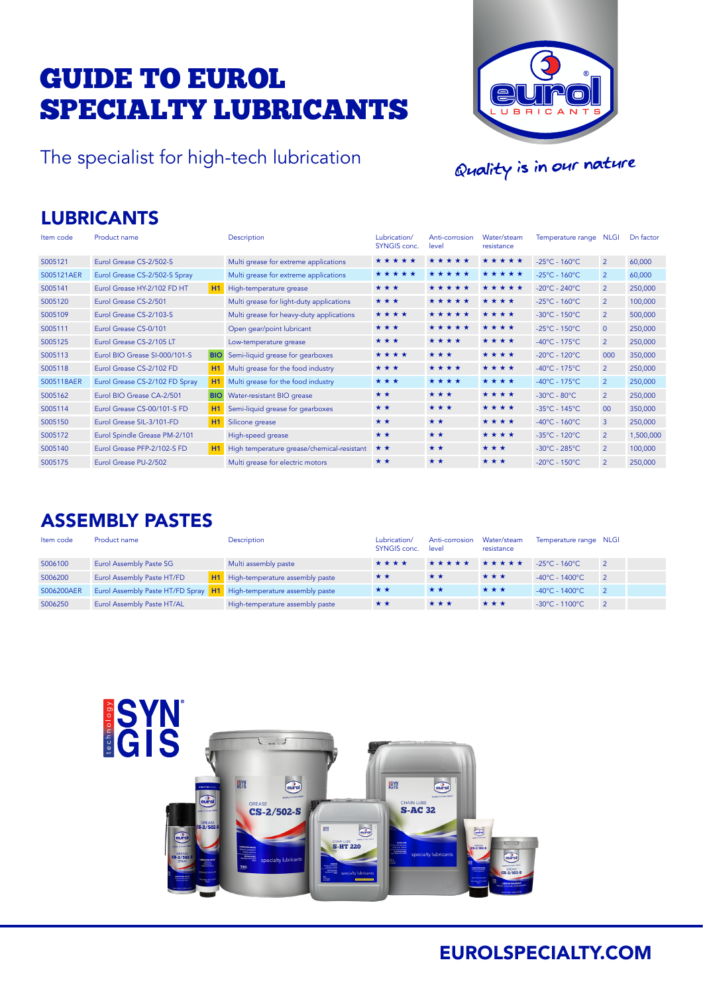# GUIDE TO EUROL SPECIALTY LUBRICANTS

The specialist for high-tech lubrication



Quality is in our nature

### LUBRICANTS

| Item code  | Product name                   |            | Description                                | Lubrication/<br><b>SYNGIS conc.</b> | Anti-corrosion<br>level | Water/steam<br>resistance | Temperature range                  | NLGI           | Dn factor |
|------------|--------------------------------|------------|--------------------------------------------|-------------------------------------|-------------------------|---------------------------|------------------------------------|----------------|-----------|
| S005121    | Eurol Grease CS-2/502-S        |            | Multi grease for extreme applications      | *****                               | *****                   | *****                     | $-25^{\circ}$ C - 160 $^{\circ}$ C | $\overline{2}$ | 60,000    |
| S005121AER | Eurol Grease CS-2/502-S Spray  |            | Multi grease for extreme applications      | *****                               | *****                   | *****                     | $-25^{\circ}$ C - 160 $^{\circ}$ C | $\overline{2}$ | 60,000    |
| S005141    | Eurol Grease HY-2/102 FD HT    | H1         | High-temperature grease                    | ***                                 | *****                   | *****                     | $-20^{\circ}$ C - 240 $^{\circ}$ C | $\overline{2}$ | 250,000   |
| S005120    | Eurol Grease CS-2/501          |            | Multi grease for light-duty applications   | ***                                 | *****                   | ****                      | $-25^{\circ}$ C - 160 $^{\circ}$ C | $\overline{2}$ | 100,000   |
| S005109    | Eurol Grease CS-2/103-S        |            | Multi grease for heavy-duty applications   | ****                                | *****                   | ****                      | $-30^{\circ}$ C - 150 $^{\circ}$ C | $\overline{2}$ | 500,000   |
| S005111    | Eurol Grease CS-0/101          |            | Open gear/point lubricant                  | ***                                 | *****                   | ****                      | $-25^{\circ}$ C - 150 $^{\circ}$ C | $\overline{0}$ | 250,000   |
| S005125    | Eurol Grease CS-2/105 LT       |            | Low-temperature grease                     | ***                                 | ****                    | ****                      | $-40^{\circ}$ C - 175 $^{\circ}$ C | $\overline{2}$ | 250,000   |
| S005113    | Eurol BIO Grease SI-000/101-S  | <b>BIO</b> | Semi-liquid grease for gearboxes           | ****                                | ***                     | ****                      | $-20^{\circ}$ C - 120 $^{\circ}$ C | 000            | 350,000   |
| S005118    | Eurol Grease CS-2/102 FD       | H1         | Multi grease for the food industry         | ***                                 | ****                    | ****                      | $-40^{\circ}$ C - 175 $^{\circ}$ C | $\overline{2}$ | 250,000   |
| S005118AER | Eurol Grease CS-2/102 FD Spray | H1         | Multi grease for the food industry         | ***                                 | ****                    | ****                      | $-40^{\circ}$ C - 175 $^{\circ}$ C | $\overline{2}$ | 250,000   |
| S005162    | Eurol BIO Grease CA-2/501      | <b>BIO</b> | Water-resistant BIO grease                 | **                                  | ***                     | ****                      | $-30^{\circ}$ C - 80 $^{\circ}$ C  | $\overline{2}$ | 250,000   |
| S005114    | Eurol Grease CS-00/101-S FD    | H1         | Semi-liquid grease for gearboxes           | **                                  | ***                     | ****                      | $-35^{\circ}$ C - 145 $^{\circ}$ C | 00             | 350,000   |
| S005150    | Eurol Grease SIL-3/101-FD      | H1         | Silicone grease                            | **                                  | * *                     | ****                      | $-40^{\circ}$ C - 160 $^{\circ}$ C | $\overline{3}$ | 250,000   |
| S005172    | Eurol Spindle Grease PM-2/101  |            | High-speed grease                          | **                                  | **                      | ****                      | $-35^{\circ}$ C - 120 $^{\circ}$ C | $\overline{2}$ | 1,500,000 |
| S005140    | Eurol Grease PFP-2/102-S FD    | <b>H1</b>  | High temperature grease/chemical-resistant | * *                                 | * *                     | ***                       | $-30^{\circ}$ C - 285 $^{\circ}$ C | $\overline{2}$ | 100,000   |
| S005175    | Eurol Grease PU-2/502          |            | Multi grease for electric motors           | * *                                 | * *                     | ***                       | $-20^{\circ}$ C - 150 $^{\circ}$ C | $\overline{2}$ | 250,000   |

### ASSEMBLY PASTES

| Item code  | Product name                                                        | Description                        | Lubrication/<br>SYNGIS conc. | Anti-corrosion<br>level | Water/steam<br>resistance | Temperature range NLGI               |                |
|------------|---------------------------------------------------------------------|------------------------------------|------------------------------|-------------------------|---------------------------|--------------------------------------|----------------|
| S006100    | Eurol Assembly Paste SG                                             | Multi assembly paste               | ****                         | *****                   | ★★★★★                     | $-25^{\circ}$ C - 160 $^{\circ}$ C - | $\overline{2}$ |
| S006200    | Eurol Assembly Paste HT/FD                                          | H1 High-temperature assembly paste | * *                          | **                      | ***                       | $-40^{\circ}$ C - 1400 $^{\circ}$ C  | $\overline{2}$ |
| S006200AER | Eurol Assembly Paste HT/FD Spray H1 High-temperature assembly paste |                                    | **                           | **                      | ***                       | $-40^{\circ}$ C - 1400 $^{\circ}$ C  | $\overline{2}$ |
| S006250    | Eurol Assembly Paste HT/AL                                          | High-temperature assembly paste    | **                           | ***                     | ***                       | $-30^{\circ}$ C - 1100 $^{\circ}$ C  | $\overline{2}$ |



### EUROLSPECIALTY.COM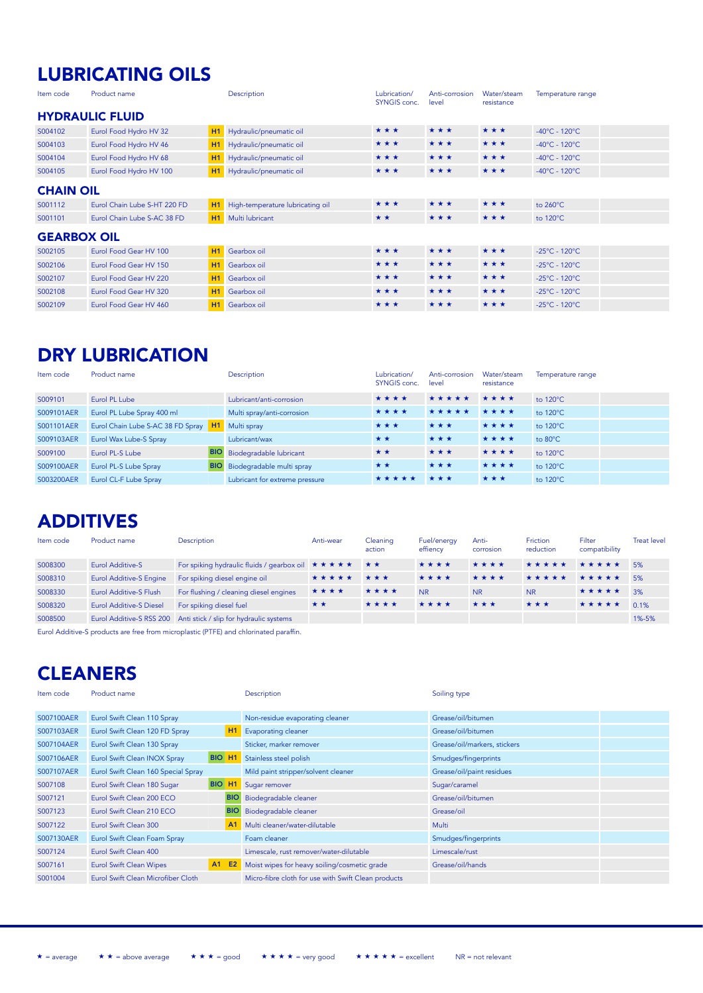## LUBRICATING OILS

| Item code          | Product name                 |                | Description                      | Lubrication/<br><b>SYNGIS</b> conc. | Anti-corrosion<br>level | Water/steam<br>resistance | Temperature range                  |  |
|--------------------|------------------------------|----------------|----------------------------------|-------------------------------------|-------------------------|---------------------------|------------------------------------|--|
|                    | <b>HYDRAULIC FLUID</b>       |                |                                  |                                     |                         |                           |                                    |  |
| S004102            | Eurol Food Hydro HV 32       | H1             | Hydraulic/pneumatic oil          | ***                                 | ***                     | ***                       | $-40^{\circ}$ C - 120 $^{\circ}$ C |  |
| S004103            | Eurol Food Hydro HV 46       | H1             | Hydraulic/pneumatic oil          | ***                                 | ***                     | ***                       | $-40^{\circ}$ C - 120 $^{\circ}$ C |  |
| S004104            | Eurol Food Hydro HV 68       | H1             | Hydraulic/pneumatic oil          | ***                                 | ***                     | ***                       | $-40^{\circ}$ C - 120 $^{\circ}$ C |  |
| S004105            | Eurol Food Hydro HV 100      | H1             | Hydraulic/pneumatic oil          | ***                                 | ***                     | ***                       | $-40^{\circ}$ C - 120 $^{\circ}$ C |  |
|                    | <b>CHAIN OIL</b>             |                |                                  |                                     |                         |                           |                                    |  |
| S001112            | Eurol Chain Lube S-HT 220 FD | H1             | High-temperature lubricating oil | ***                                 | ***                     | ***                       | to 260°C                           |  |
| S001101            | Eurol Chain Lube S-AC 38 FD  | H <sub>1</sub> | Multi lubricant                  | **                                  | ***                     | ***                       | to 120°C                           |  |
| <b>GEARBOX OIL</b> |                              |                |                                  |                                     |                         |                           |                                    |  |
| S002105            | Eurol Food Gear HV 100       | H1             | Gearbox oil                      | ***                                 | ***                     | ***                       | $-25^{\circ}$ C - 120 $^{\circ}$ C |  |
| S002106            | Eurol Food Gear HV 150       | H1             | Gearbox oil                      | ***                                 | ***                     | ***                       | $-25^{\circ}$ C - 120 $^{\circ}$ C |  |
| S002107            | Eurol Food Gear HV 220       | <b>H1</b>      | Gearbox oil                      | ***                                 | ***                     | ***                       | $-25^{\circ}$ C - 120 $^{\circ}$ C |  |
| S002108            | Eurol Food Gear HV 320       | H1             | Gearbox oil                      | ***                                 | ***                     | ***                       | $-25^{\circ}$ C - 120 $^{\circ}$ C |  |
| S002109            | Eurol Food Gear HV 460       | H1             | Gearbox oil                      | ***                                 | ***                     | ***                       | $-25^{\circ}$ C - 120 $^{\circ}$ C |  |

### DRY LUBRICATION

| Item code  | Product name                      |            | <b>Description</b>                   | Lubrication/<br>SYNGIS conc. | Anti-corrosion<br>level | Water/steam<br>resistance | Temperature range |
|------------|-----------------------------------|------------|--------------------------------------|------------------------------|-------------------------|---------------------------|-------------------|
| S009101    | Eurol PL Lube                     |            | Lubricant/anti-corrosion             | ****                         | *****                   | ****                      | to 120°C          |
| S009101AER | Eurol PL Lube Spray 400 ml        |            | Multi spray/anti-corrosion           | ****                         | *****                   | ****                      | to 120°C          |
| S001101AER | Eurol Chain Lube S-AC 38 FD Spray |            | H1 Multi spray                       | ***                          | ***                     | ****                      | to 120°C          |
| S009103AER | Eurol Wax Lube-S Spray            |            | Lubricant/wax                        | $\star \star$                | ***                     | ****                      | to 80°C           |
| S009100    | Eurol PL-S Lube                   | <b>BIO</b> | Biodegradable lubricant              | **                           | ***                     | ****                      | to 120°C          |
| S009100AER | Eurol PL-S Lube Spray             |            | <b>BIO</b> Biodegradable multi spray | $\star \star$                | ***                     | ****                      | to 120°C          |
| S003200AER | Eurol CL-F Lube Spray             |            | Lubricant for extreme pressure       | *****                        | * * *                   | ***                       | to 120°C          |

### ADDITIVES

| Item code | Product name                   | Description                                                                                          | Anti-wear | Cleaning<br>action  | Fuel/energy<br>effiency | Anti-<br>corrosion | Friction<br>reduction | Filter<br>compatibility | <b>Treat level</b> |
|-----------|--------------------------------|------------------------------------------------------------------------------------------------------|-----------|---------------------|-------------------------|--------------------|-----------------------|-------------------------|--------------------|
| S008300   | Eurol Additive-S               | For spiking hydraulic fluids / gearbox oil $\star \star \star \star \star \star$ $\star \star \star$ |           |                     | ****                    | ****               | *****                 | *****                   | 5%                 |
| S008310   | <b>Eurol Additive-S Engine</b> | For spiking diesel engine oil                                                                        | *****     | $\star \star \star$ | ****                    | ****               | *****                 | ★★★★★                   | 5%                 |
| S008330   | <b>Eurol Additive-S Flush</b>  | For flushing / cleaning diesel engines                                                               | ****      | ****                | <b>NR</b>               | <b>NR</b>          | <b>NR</b>             | *****                   | 3%                 |
| S008320   | <b>Eurol Additive-S Diesel</b> | For spiking diesel fuel                                                                              | **        | ****                | ****                    | ***                | ***                   | *****                   | 0.1%               |
| S008500   |                                | Eurol Additive-S RSS 200 Anti stick / slip for hydraulic systems                                     |           |                     |                         |                    |                       |                         | 1%-5%              |

Eurol Additive-S products are free from microplastic (PTFE) and chlorinated paraffin.

## **CLEANERS**

| Item code  | Product name                        |                    |                | Description                                         | Soiling type                 |  |
|------------|-------------------------------------|--------------------|----------------|-----------------------------------------------------|------------------------------|--|
| S007100AER | Eurol Swift Clean 110 Spray         |                    |                | Non-residue evaporating cleaner                     | Grease/oil/bitumen           |  |
| S007103AER | Eurol Swift Clean 120 FD Spray      |                    | H1             | Evaporating cleaner                                 | Grease/oil/bitumen           |  |
| S007104AER | Eurol Swift Clean 130 Spray         |                    |                | Sticker, marker remover                             | Grease/oil/markers, stickers |  |
| S007106AER | Eurol Swift Clean INOX Spray        | BIO H <sub>1</sub> |                | Stainless steel polish                              | Smudges/fingerprints         |  |
| S007107AER | Eurol Swift Clean 160 Special Spray |                    |                | Mild paint stripper/solvent cleaner                 | Grease/oil/paint residues    |  |
| S007108    | Eurol Swift Clean 180 Sugar         | BIO H <sub>1</sub> |                | Sugar remover                                       | Sugar/caramel                |  |
| S007121    | Eurol Swift Clean 200 ECO           |                    | <b>BIO</b>     | Biodegradable cleaner                               | Grease/oil/bitumen           |  |
| S007123    | Eurol Swift Clean 210 ECO           |                    | <b>BIO</b>     | Biodegradable cleaner                               | Grease/oil                   |  |
| S007122    | Eurol Swift Clean 300               |                    | A <sub>1</sub> | Multi cleaner/water-dilutable                       | Multi                        |  |
| S007130AER | Eurol Swift Clean Foam Spray        |                    |                | Foam cleaner                                        | Smudges/fingerprints         |  |
| S007124    | Eurol Swift Clean 400               |                    |                | Limescale, rust remover/water-dilutable             | Limescale/rust               |  |
| S007161    | <b>Eurol Swift Clean Wipes</b>      | A1                 | <b>E2</b>      | Moist wipes for heavy soiling/cosmetic grade        | Grease/oil/hands             |  |
| S001004    | Eurol Swift Clean Microfiber Cloth  |                    |                | Micro-fibre cloth for use with Swift Clean products |                              |  |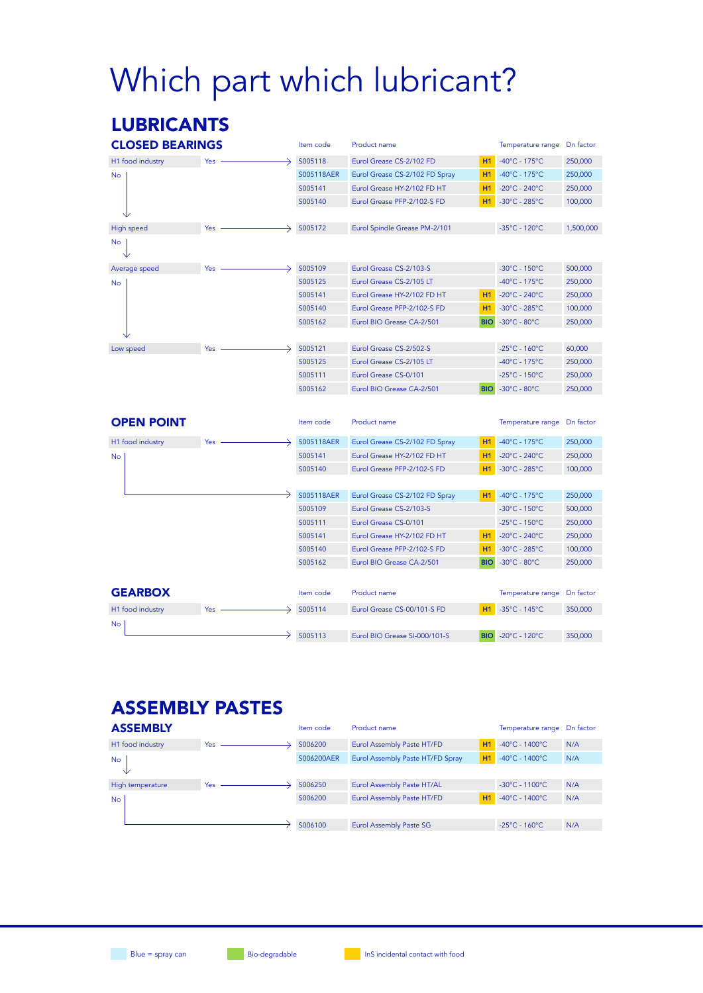# Which part which lubricant?

### LUBRICANTS

| <b>CLOSED BEARINGS</b> |     | Item code  | Product name                   |            | Temperature range                  | Dn factor |
|------------------------|-----|------------|--------------------------------|------------|------------------------------------|-----------|
| H1 food industry       | Yes | S005118    | Eurol Grease CS-2/102 FD       | H1         | $-40^{\circ}$ C - 175°C            | 250,000   |
| No                     |     | S005118AER | Eurol Grease CS-2/102 FD Spray | H1         | $-40^{\circ}$ C - 175°C            | 250,000   |
|                        |     | S005141    | Eurol Grease HY-2/102 FD HT    | H1         | $-20^{\circ}$ C - 240 $^{\circ}$ C | 250,000   |
|                        |     | S005140    | Eurol Grease PFP-2/102-S FD    | H1         | $-30^{\circ}$ C - 285 $^{\circ}$ C | 100,000   |
|                        |     |            |                                |            |                                    |           |
| High speed             | Yes | S005172    | Eurol Spindle Grease PM-2/101  |            | -35°C - 120°C                      | 1,500,000 |
| No                     |     |            |                                |            |                                    |           |
| Average speed          | Yes | S005109    | Eurol Grease CS-2/103-S        |            | -30°C - 150°C                      | 500,000   |
| <b>No</b>              |     | S005125    | Eurol Grease CS-2/105 LT       |            | $-40^{\circ}$ C - 175 $^{\circ}$ C | 250,000   |
|                        |     | S005141    | Eurol Grease HY-2/102 FD HT    | <b>H1</b>  | $-20^{\circ}$ C - 240 $^{\circ}$ C | 250,000   |
|                        |     | S005140    | Eurol Grease PFP-2/102-S FD    | H1         | $-30^{\circ}$ C - 285 $^{\circ}$ C | 100,000   |
|                        |     | S005162    | Eurol BIO Grease CA-2/501      | <b>BIO</b> | $-30^{\circ}$ C - 80 $^{\circ}$ C  | 250,000   |
|                        |     |            |                                |            |                                    |           |
| Low speed              | Yes | S005121    | Eurol Grease CS-2/502-S        |            | $-25^{\circ}$ C - 160 $^{\circ}$ C | 60,000    |
|                        |     | S005125    | Eurol Grease CS-2/105 LT       |            | $-40^{\circ}$ C - 175°C            | 250,000   |
|                        |     | S005111    | Eurol Grease CS-0/101          |            | $-25^{\circ}$ C - 150 $^{\circ}$ C | 250,000   |
|                        |     | S005162    | Eurol BIO Grease CA-2/501      | <b>BIO</b> | $-30^{\circ}$ C - 80 $^{\circ}$ C  | 250,000   |
|                        |     |            |                                |            |                                    |           |
| <b>OPEN POINT</b>      |     | Item code  | Product name                   |            | Temperature range                  | Dn factor |
| H1 food industry       | Yes | S005118AER | Eurol Grease CS-2/102 FD Spray | H1         | $-40^{\circ}$ C - 175°C            | 250,000   |
| <b>No</b>              |     | S005141    | Eurol Grease HY-2/102 FD HT    | H1         | $-20^{\circ}$ C - 240 $^{\circ}$ C | 250,000   |
|                        |     | S005140    | Eurol Grease PFP-2/102-S FD    | H1         | $-30^{\circ}$ C - 285 $^{\circ}$ C | 100,000   |
|                        |     |            |                                |            |                                    |           |
|                        |     | S005118AER | Eurol Grease CS-2/102 FD Spray | H1         | $-40^{\circ}$ C - 175°C            | 250,000   |
|                        |     | S005109    | Eurol Grease CS-2/103-S        |            | $-30^{\circ}$ C - 150 $^{\circ}$ C | 500,000   |
|                        |     | S005111    | Eurol Grease CS-0/101          |            | $-25^{\circ}$ C - 150 $^{\circ}$ C | 250,000   |
|                        |     | S005141    | Eurol Grease HY-2/102 FD HT    | <b>H1</b>  | $-20^{\circ}$ C - 240 $^{\circ}$ C | 250,000   |
|                        |     | S005140    | Eurol Grease PFP-2/102-S FD    | H1         | $-30^{\circ}$ C - 285 $^{\circ}$ C | 100,000   |
|                        |     | S005162    | Eurol BIO Grease CA-2/501      | <b>BIO</b> | $-30^{\circ}$ C - 80 $^{\circ}$ C  | 250,000   |
|                        |     |            |                                |            |                                    |           |
| <b>GEARBOX</b>         |     | Item code  | Product name                   |            | Temperature range                  | Dn factor |
| H1 food industry       | Yes | S005114    | Eurol Grease CS-00/101-S FD    | H1         | $-35^{\circ}$ C - 145°C            | 350,000   |
| No                     |     |            |                                |            |                                    |           |
|                        |     | S005113    | Eurol BIO Grease SI-000/101-S  | <b>BIO</b> | $-20^{\circ}$ C - 120 $^{\circ}$ C | 350,000   |

### ASSEMBLY PASTES

| <b>ASSEMBLY</b>  |            | Item code  | Product name                     |    | Temperature range                    | Dn factor |
|------------------|------------|------------|----------------------------------|----|--------------------------------------|-----------|
| H1 food industry | <b>Yes</b> | S006200    | Eurol Assembly Paste HT/FD       | H1 | $-40^{\circ}$ C - 1400 $^{\circ}$ C. | N/A       |
| <b>No</b>        |            | S006200AER | Eurol Assembly Paste HT/FD Spray | H1 | $-40^{\circ}$ C - 1400 $^{\circ}$ C  | N/A       |
| V                |            |            |                                  |    |                                      |           |
| High temperature | Yes        | S006250    | Eurol Assembly Paste HT/AL       |    | $-30^{\circ}$ C - 1100 $^{\circ}$ C  | N/A       |
| <b>No</b>        |            | S006200    | Eurol Assembly Paste HT/FD       | H1 | $-40^{\circ}$ C - 1400 $^{\circ}$ C. | N/A       |
|                  |            |            |                                  |    |                                      |           |
|                  |            | S006100    | Eurol Assembly Paste SG          |    | $-25^{\circ}$ C - 160 $^{\circ}$ C   | N/A       |